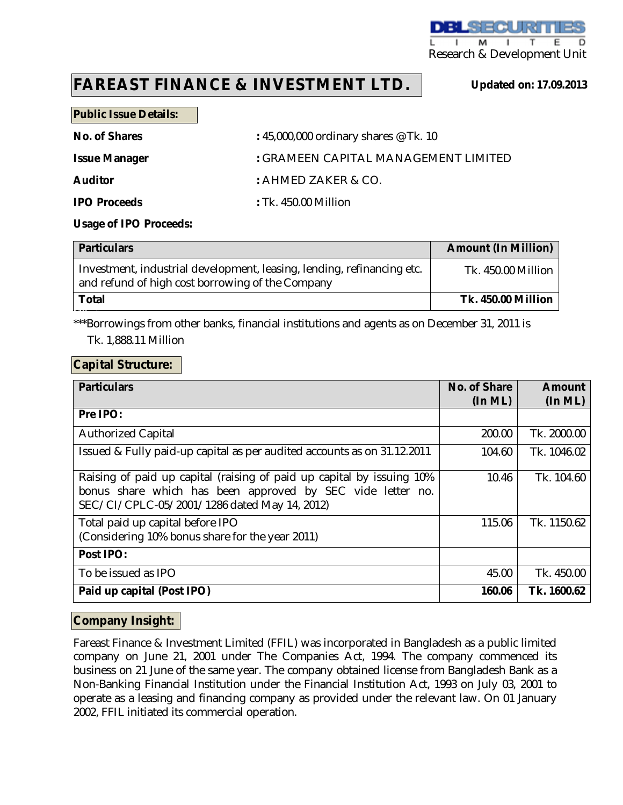

# **FAREAST FINANCE & INVESTMENT LTD.**

**Updated on: 17.09.2013**

#### **Public Issue Details:**

**No. of Shares :** 45,000,000 ordinary shares @ Tk. 10

**Issue Manager :** GRAMEEN CAPITAL MANAGEMENT LIMITED

**Auditor :** AHMED ZAKER & CO.

**IPO Proceeds :** Tk. 450.00 Million

#### **Usage of IPO Proceeds:**

| <b>Particulars</b>                                                                                                         | <b>Amount (In Million)</b> |
|----------------------------------------------------------------------------------------------------------------------------|----------------------------|
| Investment, industrial development, leasing, lending, refinancing etc.<br>and refund of high cost borrowing of the Company | Tk. 450.00 Million         |
| Total                                                                                                                      | <b>Tk. 450.00 Million</b>  |

\*\*\*Borrowings from other banks, financial institutions and agents as on December 31, 2011 is

Tk. 1,888.11 Million

### **Capital Structure:**

DT

| <b>Particulars</b>                                                                                                                                                                  | No. of Share<br>(In ML) | <b>Amount</b><br>(In ML) |
|-------------------------------------------------------------------------------------------------------------------------------------------------------------------------------------|-------------------------|--------------------------|
| Pre IPO:                                                                                                                                                                            |                         |                          |
| <b>Authorized Capital</b>                                                                                                                                                           | 200.00                  | Tk. 2000.00              |
| Issued & Fully paid-up capital as per audited accounts as on 31.12.2011                                                                                                             | 104.60                  | Tk. 1046.02              |
| Raising of paid up capital (raising of paid up capital by issuing 10%<br>bonus share which has been approved by SEC vide letter no.<br>SEC/CI/CPLC-05/2001/1286 dated May 14, 2012) | 10.46                   | Tk. 104.60               |
| Total paid up capital before IPO<br>(Considering 10% bonus share for the year 2011)                                                                                                 | 115.06                  | Tk. 1150.62              |
| Post IPO:                                                                                                                                                                           |                         |                          |
| To be issued as IPO                                                                                                                                                                 | 45.00                   | Tk. 450.00               |
| Paid up capital (Post IPO)                                                                                                                                                          | 160.06                  | Tk. 1600.62              |

## **Company Insight:**

Fareast Finance & Investment Limited (FFIL) was incorporated in Bangladesh as a public limited company on June 21, 2001 under The Companies Act, 1994. The company commenced its business on 21 June of the same year. The company obtained license from Bangladesh Bank as a Non-Banking Financial Institution under the Financial Institution Act, 1993 on July 03, 2001 to operate as a leasing and financing company as provided under the relevant law. On 01 January 2002, FFIL initiated its commercial operation.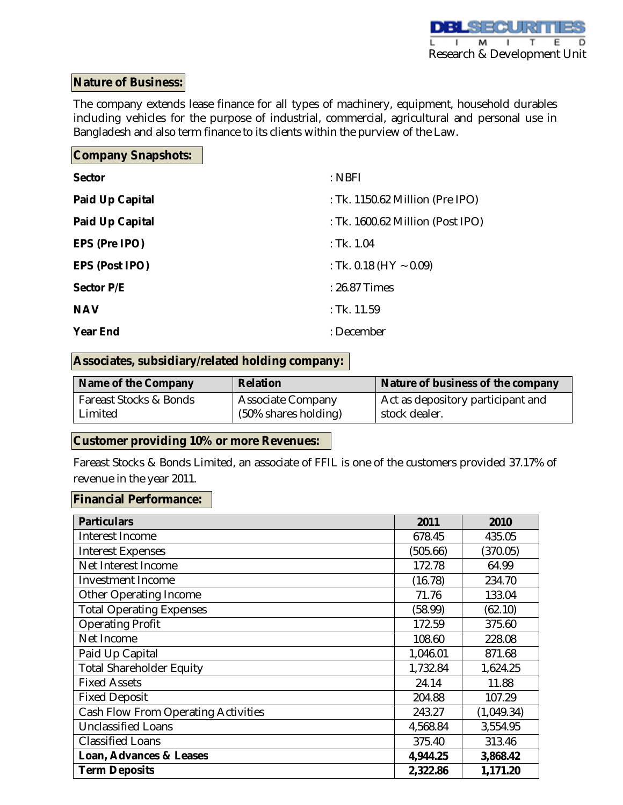## **Nature of Business:**

The company extends lease finance for all types of machinery, equipment, household durables including vehicles for the purpose of industrial, commercial, agricultural and personal use in Bangladesh and also term finance to its clients within the purview of the Law.

# **Company Snapshots:**

| <b>Sector</b>          | $:$ NBFI                         |
|------------------------|----------------------------------|
| <b>Paid Up Capital</b> | : Tk. 1150.62 Million (Pre IPO)  |
| <b>Paid Up Capital</b> | : Tk. 1600.62 Million (Post IPO) |
| EPS (Pre IPO)          | : Tk. 1.04                       |
| <b>EPS (Post IPO)</b>  | : Tk. 0.18 (HY $\sim$ 0.09)      |
| <b>Sector P/E</b>      | : 26.87 Times                    |
| <b>NAV</b>             | $:$ Tk. 11.59                    |
| <b>Year End</b>        | : December                       |

## **Associates, subsidiary/related holding company:**

| Name of the Company    | <b>Relation</b>          | Nature of business of the company |
|------------------------|--------------------------|-----------------------------------|
| Fareast Stocks & Bonds | <b>Associate Company</b> | Act as depository participant and |
| Limited                | (50% shares holding)     | stock dealer.                     |

## **Customer providing 10% or more Revenues:**

Fareast Stocks & Bonds Limited, an associate of FFIL is one of the customers provided 37.17% of revenue in the year 2011.

## **Financial Performance:**

| <b>Particulars</b>                  | 2011     | 2010       |
|-------------------------------------|----------|------------|
| Interest Income                     | 678.45   | 435.05     |
| <b>Interest Expenses</b>            | (505.66) | (370.05)   |
| Net Interest Income                 | 172.78   | 64.99      |
| <b>Investment Income</b>            | (16.78)  | 234.70     |
| Other Operating Income              | 71.76    | 133.04     |
| <b>Total Operating Expenses</b>     | (58.99)  | (62.10)    |
| <b>Operating Profit</b>             | 172.59   | 375.60     |
| Net Income                          | 108.60   | 228.08     |
| Paid Up Capital                     | 1,046.01 | 871.68     |
| <b>Total Shareholder Equity</b>     | 1,732.84 | 1,624.25   |
| <b>Fixed Assets</b>                 | 24.14    | 11.88      |
| <b>Fixed Deposit</b>                | 204.88   | 107.29     |
| Cash Flow From Operating Activities | 243.27   | (1,049.34) |
| <b>Unclassified Loans</b>           | 4,568.84 | 3,554.95   |
| <b>Classified Loans</b>             | 375.40   | 313.46     |
| Loan, Advances & Leases             | 4,944.25 | 3,868.42   |
| <b>Term Deposits</b>                | 2,322.86 | 1,171.20   |